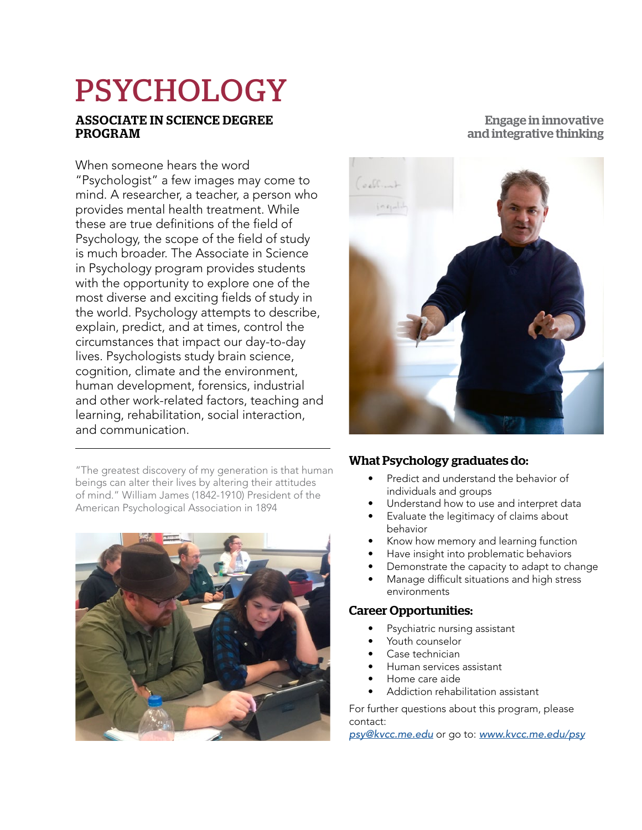# PSYCHOLOGY

#### ASSOCIATE IN SCIENCE DEGREE PROGRAM

When someone hears the word "Psychologist" a few images may come to mind. A researcher, a teacher, a person who provides mental health treatment. While these are true definitions of the field of Psychology, the scope of the field of study is much broader. The Associate in Science in Psychology program provides students with the opportunity to explore one of the most diverse and exciting fields of study in the world. Psychology attempts to describe, explain, predict, and at times, control the circumstances that impact our day-to-day lives. Psychologists study brain science, cognition, climate and the environment, human development, forensics, industrial and other work-related factors, teaching and learning, rehabilitation, social interaction, and communication.

"The greatest discovery of my generation is that human beings can alter their lives by altering their attitudes of mind." William James (1842-1910) President of the American Psychological Association in 1894



### Engage in innovative and integrative thinking



#### What Psychology graduates do:

- Predict and understand the behavior of individuals and groups
- Understand how to use and interpret data
- Evaluate the legitimacy of claims about behavior
- Know how memory and learning function
- Have insight into problematic behaviors
- Demonstrate the capacity to adapt to change
- $\bullet$  Manage difficult situations and high stress environments

#### Career Opportunities:

- Psychiatric nursing assistant
- Youth counselor
- Case technician
- Human services assistant
- Home care aide
- Addiction rehabilitation assistant

For further questions about this program, please contact:

psy@kvcc.me.edu or go to: www.kvcc.me.edu/psy